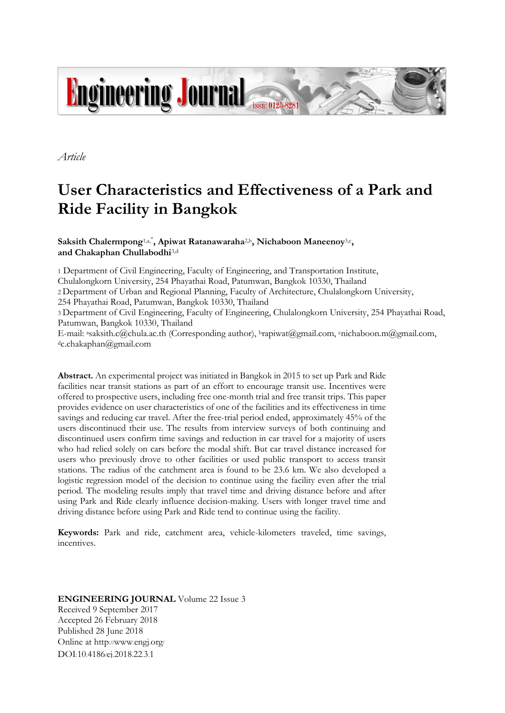

*Article*

# **User Characteristics and Effectiveness of a Park and Ride Facility in Bangkok**

Saksith Chalermpong<sup>1,a,\*</sup>, Apiwat Ratanawaraha<sup>2,b</sup>, Nichaboon Maneenoy<sup>3,c</sup>, **and Chakaphan Chullabodhi**3,d

1 Department of Civil Engineering, Faculty of Engineering, and Transportation Institute,

Chulalongkorn University, 254 Phayathai Road, Patumwan, Bangkok 10330, Thailand

2 Department of Urban and Regional Planning, Faculty of Architecture, Chulalongkorn University,

254 Phayathai Road, Patumwan, Bangkok 10330, Thailand

3 Department of Civil Engineering, Faculty of Engineering, Chulalongkorn University, 254 Phayathai Road, Patumwan, Bangkok 10330, Thailand

E-mail: asaksith.c@chula.ac.th (Corresponding author), brapiwat@gmail.com, cnichaboon.m@gmail.com, <sup>d</sup>c.chakaphan@gmail.com

**Abstract.** An experimental project was initiated in Bangkok in 2015 to set up Park and Ride facilities near transit stations as part of an effort to encourage transit use. Incentives were offered to prospective users, including free one-month trial and free transit trips. This paper provides evidence on user characteristics of one of the facilities and its effectiveness in time savings and reducing car travel. After the free-trial period ended, approximately 45% of the users discontinued their use. The results from interview surveys of both continuing and discontinued users confirm time savings and reduction in car travel for a majority of users who had relied solely on cars before the modal shift. But car travel distance increased for users who previously drove to other facilities or used public transport to access transit stations. The radius of the catchment area is found to be 23.6 km. We also developed a logistic regression model of the decision to continue using the facility even after the trial period. The modeling results imply that travel time and driving distance before and after using Park and Ride clearly influence decision-making. Users with longer travel time and driving distance before using Park and Ride tend to continue using the facility.

**Keywords:** Park and ride, catchment area, vehicle-kilometers traveled, time savings, incentives.

**ENGINEERING JOURNAL** Volume 22 Issue 3 Received 9 September 2017 Accepted 26 February 2018 Published 28 June 2018 Online at http://www.engj.org/ DOI:10.4186/ej.2018.22.3.1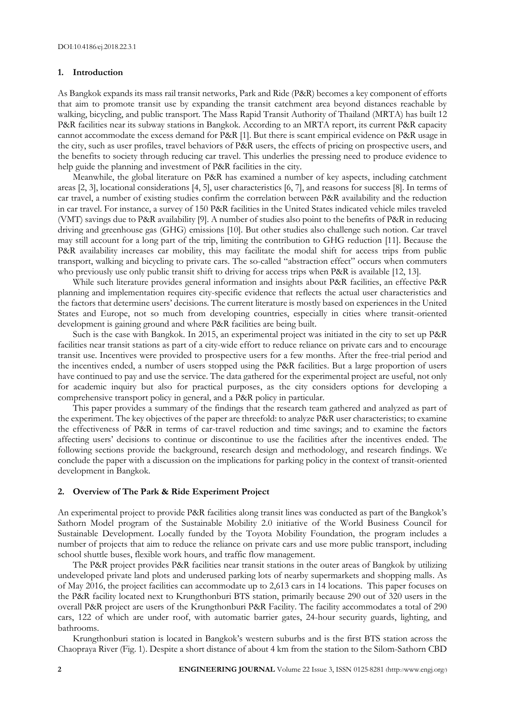#### **1. Introduction**

As Bangkok expands its mass rail transit networks, Park and Ride (P&R) becomes a key component of efforts that aim to promote transit use by expanding the transit catchment area beyond distances reachable by walking, bicycling, and public transport. The Mass Rapid Transit Authority of Thailand (MRTA) has built 12 P&R facilities near its subway stations in Bangkok. According to an MRTA report, its current P&R capacity cannot accommodate the excess demand for P&R [1]. But there is scant empirical evidence on P&R usage in the city, such as user profiles, travel behaviors of P&R users, the effects of pricing on prospective users, and the benefits to society through reducing car travel. This underlies the pressing need to produce evidence to help guide the planning and investment of P&R facilities in the city.

Meanwhile, the global literature on P&R has examined a number of key aspects, including catchment areas [2, 3], locational considerations [4, 5], user characteristics [6, 7], and reasons for success [8]. In terms of car travel, a number of existing studies confirm the correlation between P&R availability and the reduction in car travel. For instance, a survey of 150 P&R facilities in the United States indicated vehicle miles traveled (VMT) savings due to P&R availability [9]. A number of studies also point to the benefits of P&R in reducing driving and greenhouse gas (GHG) emissions [10]. But other studies also challenge such notion. Car travel may still account for a long part of the trip, limiting the contribution to GHG reduction [11]. Because the P&R availability increases car mobility, this may facilitate the modal shift for access trips from public transport, walking and bicycling to private cars. The so-called "abstraction effect" occurs when commuters who previously use only public transit shift to driving for access trips when P&R is available [12, 13].

While such literature provides general information and insights about P&R facilities, an effective P&R planning and implementation requires city-specific evidence that reflects the actual user characteristics and the factors that determine users' decisions. The current literature is mostly based on experiences in the United States and Europe, not so much from developing countries, especially in cities where transit-oriented development is gaining ground and where P&R facilities are being built.

Such is the case with Bangkok. In 2015, an experimental project was initiated in the city to set up P&R facilities near transit stations as part of a city-wide effort to reduce reliance on private cars and to encourage transit use. Incentives were provided to prospective users for a few months. After the free-trial period and the incentives ended, a number of users stopped using the P&R facilities. But a large proportion of users have continued to pay and use the service. The data gathered for the experimental project are useful, not only for academic inquiry but also for practical purposes, as the city considers options for developing a comprehensive transport policy in general, and a P&R policy in particular.

This paper provides a summary of the findings that the research team gathered and analyzed as part of the experiment. The key objectives of the paper are threefold: to analyze P&R user characteristics; to examine the effectiveness of P&R in terms of car-travel reduction and time savings; and to examine the factors affecting users' decisions to continue or discontinue to use the facilities after the incentives ended. The following sections provide the background, research design and methodology, and research findings. We conclude the paper with a discussion on the implications for parking policy in the context of transit-oriented development in Bangkok.

#### **2. Overview of The Park & Ride Experiment Project**

An experimental project to provide P&R facilities along transit lines was conducted as part of the Bangkok's Sathorn Model program of the Sustainable Mobility 2.0 initiative of the World Business Council for Sustainable Development. Locally funded by the Toyota Mobility Foundation, the program includes a number of projects that aim to reduce the reliance on private cars and use more public transport, including school shuttle buses, flexible work hours, and traffic flow management.

The P&R project provides P&R facilities near transit stations in the outer areas of Bangkok by utilizing undeveloped private land plots and underused parking lots of nearby supermarkets and shopping malls. As of May 2016, the project facilities can accommodate up to 2,613 cars in 14 locations. This paper focuses on the P&R facility located next to Krungthonburi BTS station, primarily because 290 out of 320 users in the overall P&R project are users of the Krungthonburi P&R Facility. The facility accommodates a total of 290 cars, 122 of which are under roof, with automatic barrier gates, 24-hour security guards, lighting, and bathrooms.

Krungthonburi station is located in Bangkok's western suburbs and is the first BTS station across the Chaopraya River (Fig. 1). Despite a short distance of about 4 km from the station to the Silom-Sathorn CBD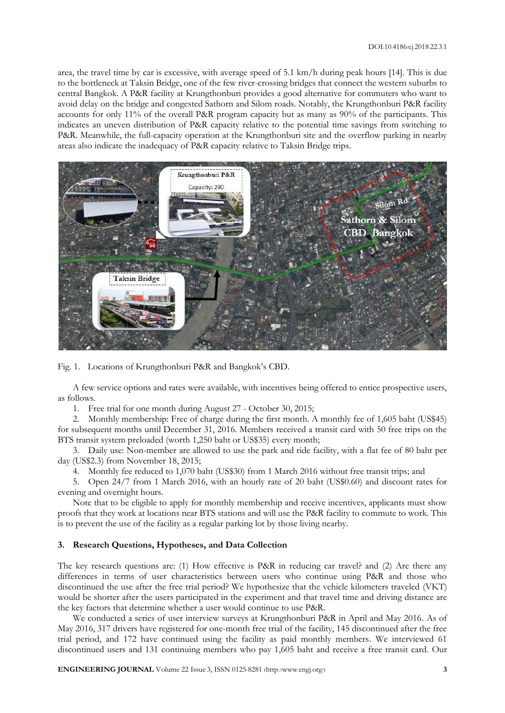area, the travel time by car is excessive, with average speed of 5.1 km/h during peak hours [14]. This is due to the bottleneck at Taksin Bridge, one of the few river-crossing bridges that connect the western suburbs to central Bangkok. A P&R facility at Krungthonburi provides a good alternative for commuters who want to avoid delay on the bridge and congested Sathorn and Silom roads. Notably, the Krungthonburi P&R facility accounts for only 11% of the overall P&R program capacity but as many as 90% of the participants. This indicates an uneven distribution of P&R capacity relative to the potential time savings from switching to P&R. Meanwhile, the full-capacity operation at the Krungthonburi site and the overflow parking in nearby areas also indicate the inadequacy of P&R capacity relative to Taksin Bridge trips.



Fig. 1. Locations of Krungthonburi P&R and Bangkok's CBD.

A few service options and rates were available, with incentives being offered to entice prospective users, as follows.

1. Free trial for one month during August 27 - October 30, 2015;

2. Monthly membership: Free of charge during the first month. A monthly fee of 1,605 baht (US\$45) for subsequent months until December 31, 2016. Members received a transit card with 50 free trips on the BTS transit system preloaded (worth 1,250 baht or US\$35) every month;

3. Daily use: Non-member are allowed to use the park and ride facility, with a flat fee of 80 baht per day (US\$2.3) from November 18, 2015;

4. Monthly fee reduced to 1,070 baht (US\$30) from 1 March 2016 without free transit trips; and

5. Open 24/7 from 1 March 2016, with an hourly rate of 20 baht (US\$0.60) and discount rates for evening and overnight hours.

Note that to be eligible to apply for monthly membership and receive incentives, applicants must show proofs that they work at locations near BTS stations and will use the P&R facility to commute to work. This is to prevent the use of the facility as a regular parking lot by those living nearby.

### **3. Research Questions, Hypotheses, and Data Collection**

The key research questions are: (1) How effective is P&R in reducing car travel? and (2) Are there any differences in terms of user characteristics between users who continue using P&R and those who discontinued the use after the free trial period? We hypothesize that the vehicle kilometers traveled (VKT) would be shorter after the users participated in the experiment and that travel time and driving distance are the key factors that determine whether a user would continue to use P&R.

We conducted a series of user interview surveys at Krungthonburi P&R in April and May 2016. As of May 2016, 317 drivers have registered for one-month free trial of the facility, 145 discontinued after the free trial period, and 172 have continued using the facility as paid monthly members. We interviewed 61 discontinued users and 131 continuing members who pay 1,605 baht and receive a free transit card. Our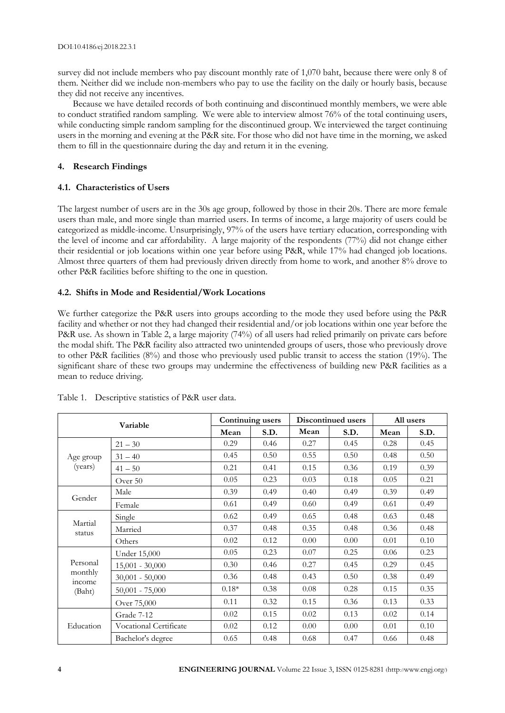survey did not include members who pay discount monthly rate of 1,070 baht, because there were only 8 of them. Neither did we include non-members who pay to use the facility on the daily or hourly basis, because they did not receive any incentives.

Because we have detailed records of both continuing and discontinued monthly members, we were able to conduct stratified random sampling. We were able to interview almost 76% of the total continuing users, while conducting simple random sampling for the discontinued group. We interviewed the target continuing users in the morning and evening at the P&R site. For those who did not have time in the morning, we asked them to fill in the questionnaire during the day and return it in the evening.

# **4. Research Findings**

# **4.1. Characteristics of Users**

The largest number of users are in the 30s age group, followed by those in their 20s. There are more female users than male, and more single than married users. In terms of income, a large majority of users could be categorized as middle-income. Unsurprisingly, 97% of the users have tertiary education, corresponding with the level of income and car affordability. A large majority of the respondents (77%) did not change either their residential or job locations within one year before using P&R, while 17% had changed job locations. Almost three quarters of them had previously driven directly from home to work, and another 8% drove to other P&R facilities before shifting to the one in question.

# **4.2. Shifts in Mode and Residential/Work Locations**

We further categorize the P&R users into groups according to the mode they used before using the P&R facility and whether or not they had changed their residential and/or job locations within one year before the P&R use. As shown in Table 2, a large majority (74%) of all users had relied primarily on private cars before the modal shift. The P&R facility also attracted two unintended groups of users, those who previously drove to other P&R facilities (8%) and those who previously used public transit to access the station (19%). The significant share of these two groups may undermine the effectiveness of building new P&R facilities as a mean to reduce driving.

| Variable          |                        |         | Continuing users | Discontinued users |      | All users |      |
|-------------------|------------------------|---------|------------------|--------------------|------|-----------|------|
|                   |                        | Mean    | S.D.             | Mean               | S.D. | Mean      | S.D. |
| Age group         | $21 - 30$              | 0.29    | 0.46             | 0.27               | 0.45 | 0.28      | 0.45 |
|                   | $31 - 40$              | 0.45    | 0.50             | 0.55               | 0.50 | 0.48      | 0.50 |
| (years)           | $41 - 50$              | 0.21    | 0.41             | 0.15               | 0.36 | 0.19      | 0.39 |
|                   | Over 50                | 0.05    | 0.23             | 0.03               | 0.18 | 0.05      | 0.21 |
| Gender            | Male                   | 0.39    | 0.49             | 0.40               | 0.49 | 0.39      | 0.49 |
|                   | Female                 | 0.61    | 0.49             | 0.60               | 0.49 | 0.61      | 0.49 |
|                   | Single                 | 0.62    | 0.49             | 0.65               | 0.48 | 0.63      | 0.48 |
| Martial           | Married                | 0.37    | 0.48             | 0.35               | 0.48 | 0.36      | 0.48 |
| status            | Others                 | 0.02    | 0.12             | 0.00               | 0.00 | 0.01      | 0.10 |
|                   | Under 15,000           | 0.05    | 0.23             | 0.07               | 0.25 | 0.06      | 0.23 |
| Personal          | $15,001 - 30,000$      | 0.30    | 0.46             | 0.27               | 0.45 | 0.29      | 0.45 |
| monthly<br>income | $30,001 - 50,000$      | 0.36    | 0.48             | 0.43               | 0.50 | 0.38      | 0.49 |
| (Baht)            | $50,001 - 75,000$      | $0.18*$ | 0.38             | 0.08               | 0.28 | 0.15      | 0.35 |
|                   | Over 75,000            | 0.11    | 0.32             | 0.15               | 0.36 | 0.13      | 0.33 |
|                   | Grade 7-12             | 0.02    | 0.15             | 0.02               | 0.13 | 0.02      | 0.14 |
| Education         | Vocational Certificate | 0.02    | 0.12             | 0.00               | 0.00 | 0.01      | 0.10 |
|                   | Bachelor's degree      | 0.65    | 0.48             | 0.68               | 0.47 | 0.66      | 0.48 |

Table 1. Descriptive statistics of P&R user data.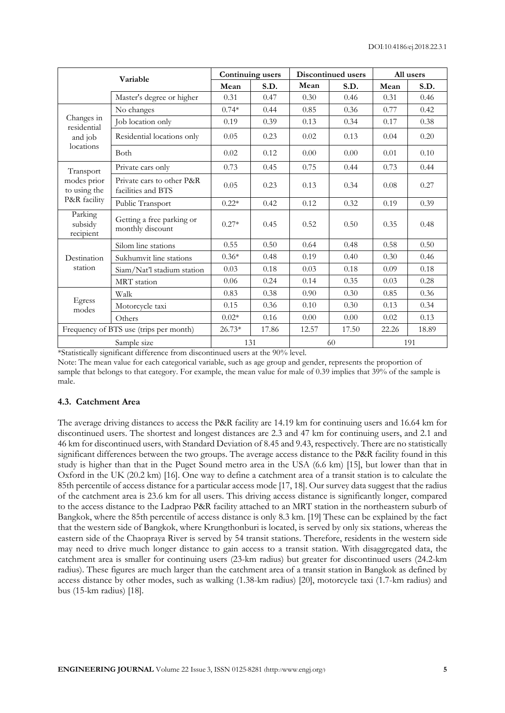| Variable                               |                                                 | Continuing users |       |       | Discontinued users | All users |       |
|----------------------------------------|-------------------------------------------------|------------------|-------|-------|--------------------|-----------|-------|
|                                        |                                                 | Mean             | S.D.  | Mean  | S.D.               | Mean      | S.D.  |
|                                        | Master's degree or higher                       | 0.31             | 0.47  | 0.30  | 0.46               | 0.31      | 0.46  |
|                                        | No changes                                      | $0.74*$          | 0.44  | 0.85  | 0.36               | 0.77      | 0.42  |
| Changes in<br>residential              | Job location only                               | 0.19             | 0.39  | 0.13  | 0.34               | 0.17      | 0.38  |
| and job                                | Residential locations only                      | 0.05             | 0.23  | 0.02  | 0.13               | 0.04      | 0.20  |
| locations                              | <b>Both</b>                                     | 0.02             | 0.12  | 0.00  | 0.00               | 0.01      | 0.10  |
| Transport                              | Private cars only                               | 0.73             | 0.45  | 0.75  | 0.44               | 0.73      | 0.44  |
| modes prior<br>to using the            | Private cars to other P&R<br>facilities and BTS | 0.05             | 0.23  | 0.13  | 0.34               | 0.08      | 0.27  |
| P&R facility                           | Public Transport                                | $0.22*$          | 0.42  | 0.12  | 0.32               | 0.19      | 0.39  |
| Parking<br>subsidy<br>recipient        | Getting a free parking or<br>monthly discount   | $0.27*$          | 0.45  | 0.52  | 0.50               | 0.35      | 0.48  |
|                                        | Silom line stations                             | 0.55             | 0.50  | 0.64  | 0.48               | 0.58      | 0.50  |
| Destination                            | Sukhumvit line stations                         | $0.36*$          | 0.48  | 0.19  | 0.40               | 0.30      | 0.46  |
| station                                | Siam/Nat'l stadium station                      | 0.03             | 0.18  | 0.03  | 0.18               | 0.09      | 0.18  |
|                                        | MRT station                                     | 0.06             | 0.24  | 0.14  | 0.35               | 0.03      | 0.28  |
|                                        | Walk                                            | 0.83             | 0.38  | 0.90  | 0.30               | 0.85      | 0.36  |
| Egress<br>modes                        | Motorcycle taxi                                 | 0.15             | 0.36  | 0.10  | 0.30               | 0.13      | 0.34  |
|                                        | Others                                          | $0.02*$          | 0.16  | 0.00  | 0.00               | 0.02      | 0.13  |
| Frequency of BTS use (trips per month) |                                                 | $26.73*$         | 17.86 | 12.57 | 17.50              | 22.26     | 18.89 |
| Sample size                            |                                                 | 131              |       |       | 60                 |           | 191   |

\*Statistically significant difference from discontinued users at the 90% level.

Note: The mean value for each categorical variable, such as age group and gender, represents the proportion of sample that belongs to that category. For example, the mean value for male of 0.39 implies that 39% of the sample is male.

## **4.3. Catchment Area**

The average driving distances to access the P&R facility are 14.19 km for continuing users and 16.64 km for discontinued users. The shortest and longest distances are 2.3 and 47 km for continuing users, and 2.1 and 46 km for discontinued users, with Standard Deviation of 8.45 and 9.43, respectively. There are no statistically significant differences between the two groups. The average access distance to the P&R facility found in this study is higher than that in the Puget Sound metro area in the USA (6.6 km) [15], but lower than that in Oxford in the UK (20.2 km) [16]. One way to define a catchment area of a transit station is to calculate the 85th percentile of access distance for a particular access mode [17, 18]. Our survey data suggest that the radius of the catchment area is 23.6 km for all users. This driving access distance is significantly longer, compared to the access distance to the Ladprao P&R facility attached to an MRT station in the northeastern suburb of Bangkok, where the 85th percentile of access distance is only 8.3 km. [19] These can be explained by the fact that the western side of Bangkok, where Krungthonburi is located, is served by only six stations, whereas the eastern side of the Chaopraya River is served by 54 transit stations. Therefore, residents in the western side may need to drive much longer distance to gain access to a transit station. With disaggregated data, the catchment area is smaller for continuing users (23-km radius) but greater for discontinued users (24.2-km radius). These figures are much larger than the catchment area of a transit station in Bangkok as defined by access distance by other modes, such as walking (1.38-km radius) [20], motorcycle taxi (1.7-km radius) and bus (15-km radius) [18].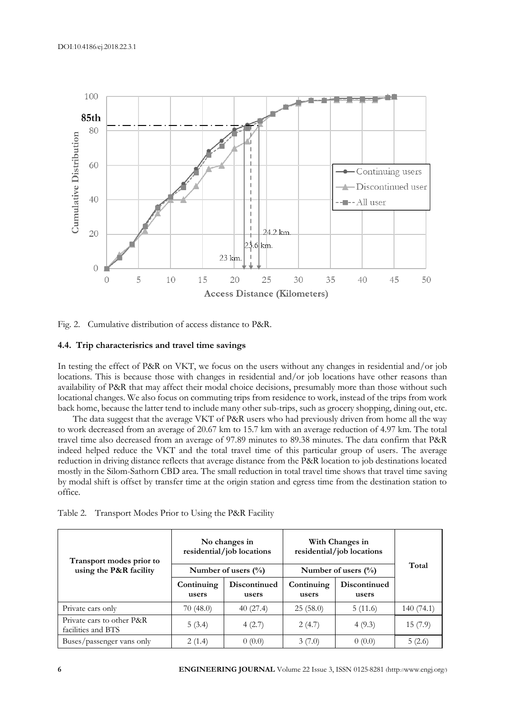

Fig. 2. Cumulative distribution of access distance to P&R.

## **4.4. Trip characterisrics and travel time savings**

In testing the effect of P&R on VKT, we focus on the users without any changes in residential and/or job locations. This is because those with changes in residential and/or job locations have other reasons than availability of P&R that may affect their modal choice decisions, presumably more than those without such locational changes. We also focus on commuting trips from residence to work, instead of the trips from work back home, because the latter tend to include many other sub-trips, such as grocery shopping, dining out, etc.

The data suggest that the average VKT of P&R users who had previously driven from home all the way to work decreased from an average of 20.67 km to 15.7 km with an average reduction of 4.97 km. The total travel time also decreased from an average of 97.89 minutes to 89.38 minutes. The data confirm that P&R indeed helped reduce the VKT and the total travel time of this particular group of users. The average reduction in driving distance reflects that average distance from the P&R location to job destinations located mostly in the Silom-Sathorn CBD area. The small reduction in total travel time shows that travel time saving by modal shift is offset by transfer time at the origin station and egress time from the destination station to office.

| Transport modes prior to<br>using the P&R facility |                     | No changes in<br>residential/job locations<br>Number of users $(\%$ | With Changes in<br>residential/job locations<br>Number of users $(\% )$ | Total                 |           |
|----------------------------------------------------|---------------------|---------------------------------------------------------------------|-------------------------------------------------------------------------|-----------------------|-----------|
|                                                    | Continuing<br>users | Discontinued<br>users                                               | Continuing<br>users                                                     | Discontinued<br>users |           |
| Private cars only                                  | 70 (48.0)           | 40(27.4)                                                            | 25(58.0)                                                                | 5(11.6)               | 140(74.1) |
| Private cars to other P&R<br>facilities and BTS    | 5(3.4)              | 4(2.7)                                                              | 2(4.7)                                                                  | 4(9.3)                | 15(7.9)   |
| Buses/passenger vans only                          | 2(1.4)              | 0(0.0)                                                              | 3(7.0)                                                                  | 0(0.0)                | 5(2.6)    |

| Table 2. Transport Modes Prior to Using the P&R Facility |  |  |  |
|----------------------------------------------------------|--|--|--|
|                                                          |  |  |  |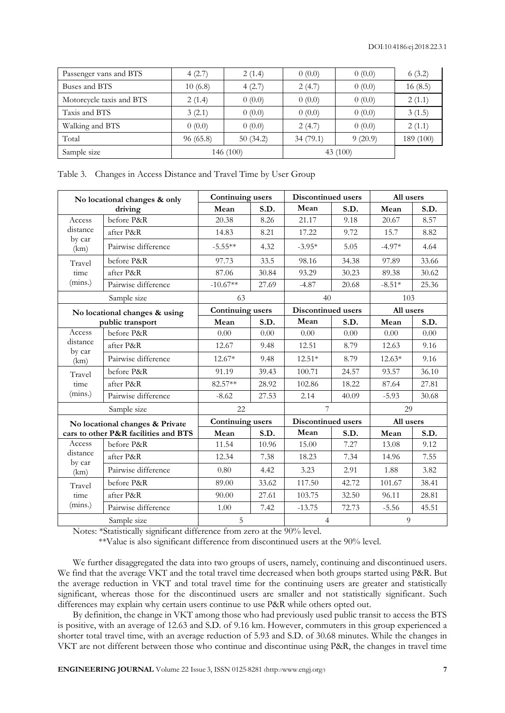| Passenger vans and BTS   | 4(2.7)    | 2(1.4)   | 0(0.0)     | 0(0.0)  | 6(3.2)    |
|--------------------------|-----------|----------|------------|---------|-----------|
| Buses and BTS            | 10(6.8)   | 4(2.7)   | 2(4.7)     | 0(0.0)  | 16(8.5)   |
| Motorcycle taxis and BTS | 2(1.4)    | 0(0.0)   | 0(0.0)     | 0(0.0)  | 2(1.1)    |
| Taxis and BTS            | 3(2.1)    | 0(0.0)   | 0(0.0)     | 0(0.0)  | 3(1.5)    |
| Walking and BTS          | 0(0.0)    | 0(0.0)   | 2(4.7)     | 0(0.0)  | 2(1.1)    |
| Total                    | 96(65.8)  | 50(34.2) | 34(79.1)   | 9(20.9) | 189 (100) |
| Sample size              | 146 (100) |          | 43 $(100)$ |         |           |

Table 3. Changes in Access Distance and Travel Time by User Group

| No locational changes & only                      |                                      | Continuing users |       | Discontinued users |                    | All users |           |
|---------------------------------------------------|--------------------------------------|------------------|-------|--------------------|--------------------|-----------|-----------|
|                                                   | driving                              | Mean             | S.D.  | Mean               | S.D.               | Mean      | S.D.      |
| Access                                            | before P&R                           | 20.38            | 8.26  | 21.17              | 9.18               | 20.67     | 8.57      |
| distance                                          | after P&R                            | 14.83            | 8.21  | 17.22              | 9.72               | 15.7      | 8.82      |
| by car<br>(km)                                    | Pairwise difference                  | $-5.55**$        | 4.32  | $-3.95*$           | 5.05               | $-4.97*$  | 4.64      |
| Travel                                            | before P&R                           | 97.73            | 33.5  | 98.16              | 34.38              | 97.89     | 33.66     |
| time                                              | after P&R                            | 87.06            | 30.84 | 93.29              | 30.23              | 89.38     | 30.62     |
| (mins.)                                           | Pairwise difference                  | $-10.67**$       | 27.69 | $-4.87$            | 20.68              | $-8.51*$  | 25.36     |
|                                                   | Sample size                          | 63               |       | 40                 |                    | 103       |           |
| No locational changes & using<br>public transport |                                      | Continuing users |       | Discontinued users |                    | All users |           |
|                                                   |                                      | Mean             | S.D.  | Mean               | S.D.               | Mean      | S.D.      |
| Access                                            | before P&R                           | 0.00             | 0.00  | 0.00               | 0.00               | 0.00      | 0.00      |
| distance<br>by car<br>(km)                        | after P&R                            | 12.67            | 9.48  | 12.51              | 8.79               | 12.63     | 9.16      |
|                                                   | Pairwise difference                  | $12.67*$         | 9.48  | $12.51*$           | 8.79               | $12.63*$  | 9.16      |
| Travel                                            | before P&R                           | 91.19            | 39.43 | 100.71             | 24.57              | 93.57     | 36.10     |
| time                                              | after P&R                            | 82.57**          | 28.92 | 102.86             | 18.22              | 87.64     | 27.81     |
| (mins.)                                           | Pairwise difference                  | $-8.62$          | 27.53 | 2.14               | 40.09              | $-5.93$   | 30.68     |
|                                                   | Sample size                          | 22               |       |                    |                    | 29        |           |
|                                                   | No locational changes & Private      | Continuing users |       |                    | Discontinued users |           | All users |
|                                                   | cars to other P&R facilities and BTS | Mean             | S.D.  | Mean               | S.D.               | Mean      | S.D.      |
| Access                                            | before P&R                           | 11.54            | 10.96 | 15.00              | 7.27               | 13.08     | 9.12      |
| distance<br>by car                                | after P&R                            | 12.34            | 7.38  | 18.23              | 7.34               | 14.96     | 7.55      |
| (km)                                              | Pairwise difference                  | 0.80             | 4.42  | 3.23               | 2.91               | 1.88      | 3.82      |
| Travel                                            | before P&R                           | 89.00            | 33.62 | 117.50             | 42.72              | 101.67    | 38.41     |
| time                                              | after P&R                            | 90.00            | 27.61 | 103.75             | 32.50              | 96.11     | 28.81     |
| (mins.)                                           | Pairwise difference                  | 1.00             | 7.42  | $-13.75$           | 72.73              | $-5.56$   | 45.51     |
|                                                   | Sample size                          | 5                |       | $\overline{4}$     |                    | 9         |           |

Notes: \*Statistically significant difference from zero at the 90% level.

\*\*Value is also significant difference from discontinued users at the 90% level.

We further disaggregated the data into two groups of users, namely, continuing and discontinued users. We find that the average VKT and the total travel time decreased when both groups started using P&R. But the average reduction in VKT and total travel time for the continuing users are greater and statistically significant, whereas those for the discontinued users are smaller and not statistically significant. Such differences may explain why certain users continue to use P&R while others opted out.

By definition, the change in VKT among those who had previously used public transit to access the BTS is positive, with an average of 12.63 and S.D. of 9.16 km. However, commuters in this group experienced a shorter total travel time, with an average reduction of 5.93 and S.D. of 30.68 minutes. While the changes in VKT are not different between those who continue and discontinue using P&R, the changes in travel time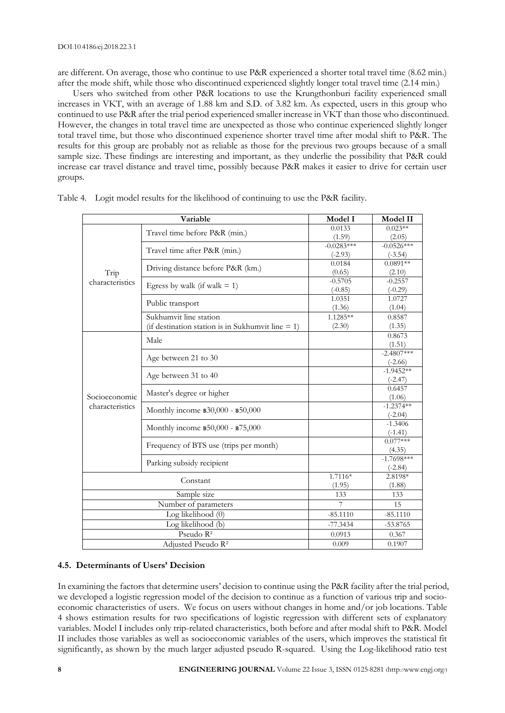are different. On average, those who continue to use P&R experienced a shorter total travel time (8.62 min.) after the mode shift, while those who discontinued experienced slightly longer total travel time (2.14 min.)

Users who switched from other P&R locations to use the Krungthonburi facility experienced small increases in VKT, with an average of 1.88 km and S.D. of 3.82 km. As expected, users in this group who continued to use P&R after the trial period experienced smaller increase in VKT than those who discontinued. However, the changes in total travel time are unexpected as those who continue experienced slightly longer total travel time, but those who discontinued experience shorter travel time after modal shift to P&R. The results for this group are probably not as reliable as those for the previous two groups because of a small sample size. These findings are interesting and important, as they underlie the possibility that P&R could increase car travel distance and travel time, possibly because P&R makes it easier to drive for certain user groups.

|                      | Variable                                             | Model I            | Model II                 |
|----------------------|------------------------------------------------------|--------------------|--------------------------|
|                      | Travel time before P&R (min.)                        | 0.0133             | $0.023**$                |
|                      |                                                      | (1.59)             | (2.05)                   |
|                      | Travel time after P&R (min.)                         | $-0.0283***$       | $-0.0526***$             |
|                      |                                                      | $(-2.93)$          | $(-3.54)$                |
|                      | Driving distance before P&R (km.)                    | 0.0184             | $0.0891**$               |
| Trip                 |                                                      | (0.65)             | (2.10)                   |
| characteristics      | Egress by walk (if walk $= 1$ )                      | $-0.5705$          | $-0.2557$                |
|                      |                                                      | $(-0.85)$          | $(-0.29)$                |
|                      | Public transport                                     | 1.0351             | 1.0727<br>(1.04)         |
|                      | Sukhumvit line station                               | (1.36)<br>1.1285** |                          |
|                      |                                                      |                    | 0.8587                   |
|                      | (if destination station is in Sukhumvit line $= 1$ ) | (2.30)             | (1.35)                   |
|                      | Male                                                 |                    | 0.8673                   |
|                      |                                                      |                    | (1.51)<br>$-2.4807***$   |
|                      | Age between 21 to 30                                 |                    | $(-2.66)$                |
|                      |                                                      |                    | $-1.9452**$              |
|                      | Age between 31 to 40                                 |                    | $(-2.47)$                |
|                      | Master's degree or higher                            |                    | 0.6457                   |
| Socioeconomic        |                                                      |                    | (1.06)                   |
| characteristics      | Monthly income \$30,000 - \$50,000                   |                    | $-1.2374**$<br>$(-2.04)$ |
|                      |                                                      |                    | $-1.3406$                |
|                      | Monthly income \$50,000 - \$75,000                   |                    | $(-1.41)$                |
|                      |                                                      |                    | $0.077***$               |
|                      | Frequency of BTS use (trips per month)               |                    | (4.35)                   |
|                      | Parking subsidy recipient                            |                    | $-1.7698***$             |
|                      |                                                      |                    | $(-2.84)$                |
|                      | Constant                                             | 1.7116*            | 2.8198*                  |
|                      |                                                      | (1.95)             | (1.88)                   |
| Sample size          |                                                      | 133                | 133                      |
| Number of parameters |                                                      | $7\phantom{.0}$    | 15                       |
|                      | Log likelihood (0)                                   | $-85.1110$         | $-85.1110$               |
|                      | Log likelihood (b)                                   | $-77.3434$         | $-53.8765$               |
|                      | Pseudo R <sup>2</sup>                                | 0.0913             | 0.367                    |
|                      | Adjusted Pseudo R <sup>2</sup>                       | 0.009              | 0.1907                   |

Table 4. Logit model results for the likelihood of continuing to use the P&R facility.

## **4.5. Determinants of Users' Decision**

In examining the factors that determine users' decision to continue using the P&R facility after the trial period, we developed a logistic regression model of the decision to continue as a function of various trip and socioeconomic characteristics of users. We focus on users without changes in home and/or job locations. Table 4 shows estimation results for two specifications of logistic regression with different sets of explanatory variables. Model I includes only trip-related characteristics, both before and after modal shift to P&R. Model II includes those variables as well as socioeconomic variables of the users, which improves the statistical fit significantly, as shown by the much larger adjusted pseudo R-squared. Using the Log-likelihood ratio test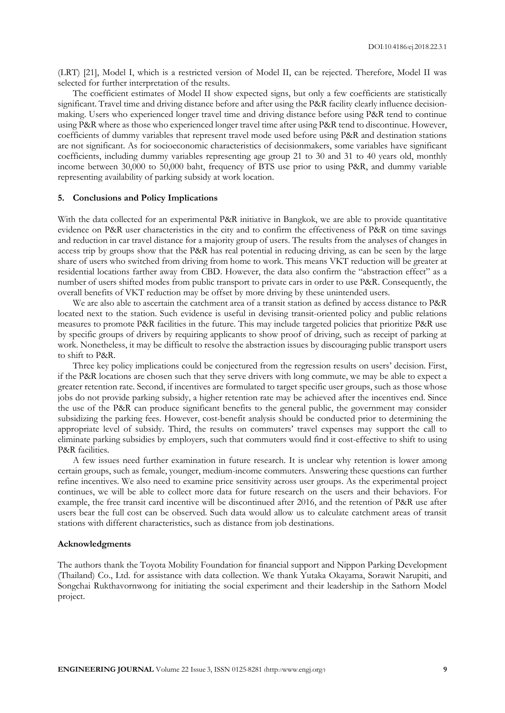(LRT) [21], Model I, which is a restricted version of Model II, can be rejected. Therefore, Model II was selected for further interpretation of the results.

The coefficient estimates of Model II show expected signs, but only a few coefficients are statistically significant. Travel time and driving distance before and after using the P&R facility clearly influence decisionmaking. Users who experienced longer travel time and driving distance before using P&R tend to continue using P&R where as those who experienced longer travel time after using P&R tend to discontinue. However, coefficients of dummy variables that represent travel mode used before using P&R and destination stations are not significant. As for socioeconomic characteristics of decisionmakers, some variables have significant coefficients, including dummy variables representing age group 21 to 30 and 31 to 40 years old, monthly income between 30,000 to 50,000 baht, frequency of BTS use prior to using P&R, and dummy variable representing availability of parking subsidy at work location.

## **5. Conclusions and Policy Implications**

With the data collected for an experimental P&R initiative in Bangkok, we are able to provide quantitative evidence on P&R user characteristics in the city and to confirm the effectiveness of P&R on time savings and reduction in car travel distance for a majority group of users. The results from the analyses of changes in access trip by groups show that the P&R has real potential in reducing driving, as can be seen by the large share of users who switched from driving from home to work. This means VKT reduction will be greater at residential locations farther away from CBD. However, the data also confirm the "abstraction effect" as a number of users shifted modes from public transport to private cars in order to use P&R. Consequently, the overall benefits of VKT reduction may be offset by more driving by these unintended users.

We are also able to ascertain the catchment area of a transit station as defined by access distance to P&R located next to the station. Such evidence is useful in devising transit-oriented policy and public relations measures to promote P&R facilities in the future. This may include targeted policies that prioritize P&R use by specific groups of drivers by requiring applicants to show proof of driving, such as receipt of parking at work. Nonetheless, it may be difficult to resolve the abstraction issues by discouraging public transport users to shift to P&R.

Three key policy implications could be conjectured from the regression results on users' decision. First, if the P&R locations are chosen such that they serve drivers with long commute, we may be able to expect a greater retention rate. Second, if incentives are formulated to target specific user groups, such as those whose jobs do not provide parking subsidy, a higher retention rate may be achieved after the incentives end. Since the use of the P&R can produce significant benefits to the general public, the government may consider subsidizing the parking fees. However, cost-benefit analysis should be conducted prior to determining the appropriate level of subsidy. Third, the results on commuters' travel expenses may support the call to eliminate parking subsidies by employers, such that commuters would find it cost-effective to shift to using P&R facilities.

A few issues need further examination in future research. It is unclear why retention is lower among certain groups, such as female, younger, medium-income commuters. Answering these questions can further refine incentives. We also need to examine price sensitivity across user groups. As the experimental project continues, we will be able to collect more data for future research on the users and their behaviors. For example, the free transit card incentive will be discontinued after 2016, and the retention of P&R use after users bear the full cost can be observed. Such data would allow us to calculate catchment areas of transit stations with different characteristics, such as distance from job destinations.

#### **Acknowledgments**

The authors thank the Toyota Mobility Foundation for financial support and Nippon Parking Development (Thailand) Co., Ltd. for assistance with data collection. We thank Yutaka Okayama, Sorawit Narupiti, and Songchai Rukthavornwong for initiating the social experiment and their leadership in the Sathorn Model project.